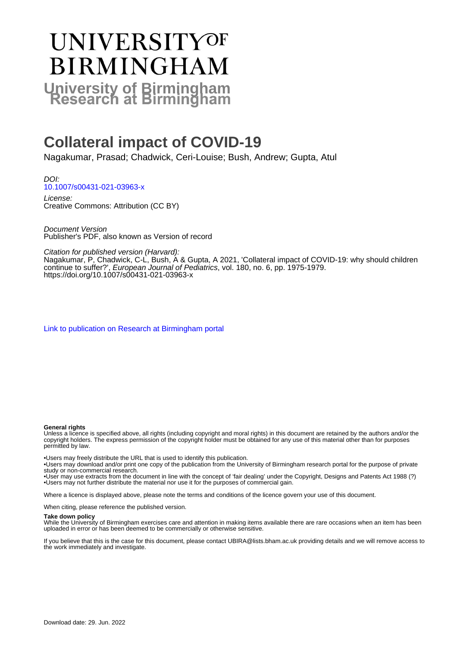# **UNIVERSITYOF BIRMINGHAM University of Birmingham**

## **Collateral impact of COVID-19**

Nagakumar, Prasad; Chadwick, Ceri-Louise; Bush, Andrew; Gupta, Atul

DOI: [10.1007/s00431-021-03963-x](https://doi.org/10.1007/s00431-021-03963-x)

License: Creative Commons: Attribution (CC BY)

Document Version Publisher's PDF, also known as Version of record

Citation for published version (Harvard):

Nagakumar, P, Chadwick, C-L, Bush, A & Gupta, A 2021, 'Collateral impact of COVID-19: why should children continue to suffer?', European Journal of Pediatrics, vol. 180, no. 6, pp. 1975-1979. <https://doi.org/10.1007/s00431-021-03963-x>

[Link to publication on Research at Birmingham portal](https://birmingham.elsevierpure.com/en/publications/52957f10-d554-4be4-8c34-526c77a46ae9)

#### **General rights**

Unless a licence is specified above, all rights (including copyright and moral rights) in this document are retained by the authors and/or the copyright holders. The express permission of the copyright holder must be obtained for any use of this material other than for purposes permitted by law.

• Users may freely distribute the URL that is used to identify this publication.

• Users may download and/or print one copy of the publication from the University of Birmingham research portal for the purpose of private study or non-commercial research.

• User may use extracts from the document in line with the concept of 'fair dealing' under the Copyright, Designs and Patents Act 1988 (?) • Users may not further distribute the material nor use it for the purposes of commercial gain.

Where a licence is displayed above, please note the terms and conditions of the licence govern your use of this document.

When citing, please reference the published version.

#### **Take down policy**

While the University of Birmingham exercises care and attention in making items available there are rare occasions when an item has been uploaded in error or has been deemed to be commercially or otherwise sensitive.

If you believe that this is the case for this document, please contact UBIRA@lists.bham.ac.uk providing details and we will remove access to the work immediately and investigate.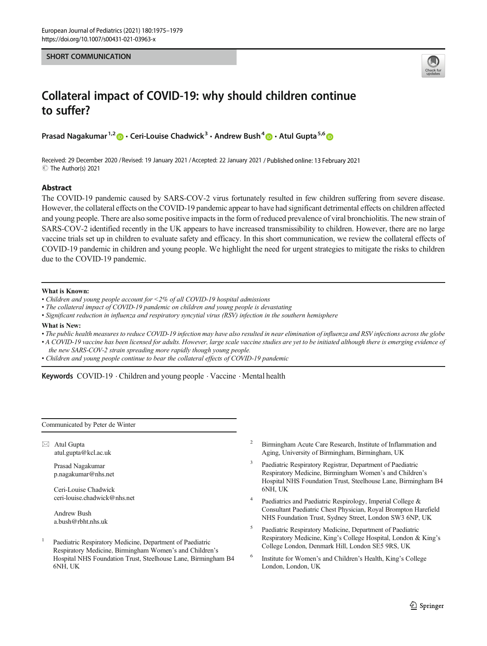#### SHORT COMMUNICATION



### Collateral impact of COVID-19: why should children continue to suffer?

Prasad Nagakumar<sup>1,2</sup>  $\cdot$  Ceri-Louise Chadwick<sup>3</sup>  $\cdot$  Andrew Bush<sup>4</sup>  $\cdot$  Atul Gupta<sup>5,6</sup>  $\cdot$ 

Received: 29 December 2020 / Revised: 19 January 2021 /Accepted: 22 January 2021 / Published online: 13 February 2021 C The Author(s) 2021

#### Abstract

The COVID-19 pandemic caused by SARS-COV-2 virus fortunately resulted in few children suffering from severe disease. However, the collateral effects on the COVID-19 pandemic appear to have had significant detrimental effects on children affected and young people. There are also some positive impacts in the form of reduced prevalence of viral bronchiolitis. The new strain of SARS-COV-2 identified recently in the UK appears to have increased transmissibility to children. However, there are no large vaccine trials set up in children to evaluate safety and efficacy. In this short communication, we review the collateral effects of COVID-19 pandemic in children and young people. We highlight the need for urgent strategies to mitigate the risks to children due to the COVID-19 pandemic.

#### What is Known:

- Children and young people account for <2% of all COVID-19 hospital admissions
- The collateral impact of COVID-19 pandemic on children and young people is devastating
- Significant reduction in influenza and respiratory syncytial virus (RSV) infection in the southern hemisphere

#### What is New:

- The public health measures to reduce COVID-19 infection may have also resulted in near elimination of influenza and RSV infections across the globe
- A COVID-19 vaccine has been licensed for adults. However, large scale vaccine studies are yet to be initiated although there is emerging evidence of the new SARS-COV-2 strain spreading more rapidly though young people.
- Children and young people continue to bear the collateral effects of COVID-19 pandemic

**Keywords** COVID-19  $\cdot$  Children and young people  $\cdot$  Vaccine  $\cdot$  Mental health

Communicated by Peter de Winter

 $\boxtimes$  Atul Gupta [atul.gupta@kcl.ac.uk](mailto:atul.gupta@kcl.ac.uk)

> Prasad Nagakumar p.nagakumar@nhs.net

Ceri-Louise Chadwick ceri-louise.chadwick@nhs.net

Andrew Bush a.bush@rbht.nhs.uk

Paediatric Respiratory Medicine, Department of Paediatric Respiratory Medicine, Birmingham Women's and Children's Hospital NHS Foundation Trust, Steelhouse Lane, Birmingham B4 6NH, UK

- <sup>2</sup> Birmingham Acute Care Research, Institute of Inflammation and Aging, University of Birmingham, Birmingham, UK
- Paediatric Respiratory Registrar, Department of Paediatric Respiratory Medicine, Birmingham Women's and Children's Hospital NHS Foundation Trust, Steelhouse Lane, Birmingham B4 6NH, UK
- Paediatrics and Paediatric Respirology, Imperial College & Consultant Paediatric Chest Physician, Royal Brompton Harefield NHS Foundation Trust, Sydney Street, London SW3 6NP, UK
- Paediatric Respiratory Medicine, Department of Paediatric Respiratory Medicine, King's College Hospital, London & King's College London, Denmark Hill, London SE5 9RS, UK
- Institute for Women's and Children's Health, King's College London, London, UK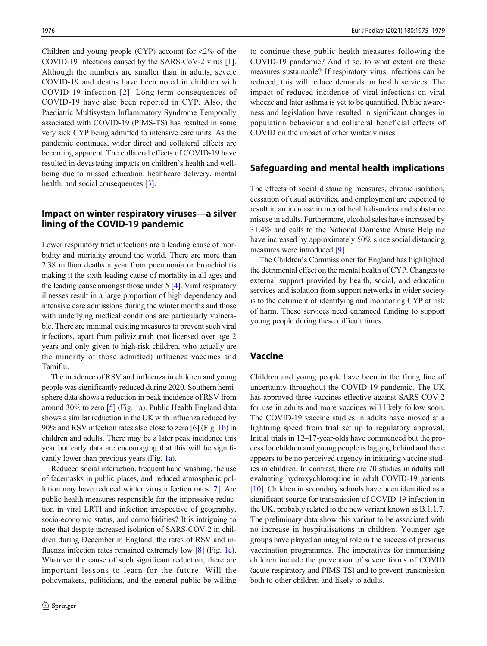Children and young people (CYP) account for  $\langle 2\% \rangle$  of the COVID-19 infections caused by the SARS-CoV-2 virus [[1\]](#page-4-0). Although the numbers are smaller than in adults, severe COVID-19 and deaths have been noted in children with COVID-19 infection [[2\]](#page-4-0). Long-term consequences of COVID-19 have also been reported in CYP. Also, the Paediatric Multisystem Inflammatory Syndrome Temporally associated with COVID-19 (PIMS-TS) has resulted in some very sick CYP being admitted to intensive care units. As the pandemic continues, wider direct and collateral effects are becoming apparent. The collateral effects of COVID-19 have resulted in devastating impacts on children's health and wellbeing due to missed education, healthcare delivery, mental health, and social consequences [[3](#page-4-0)].

#### Impact on winter respiratory viruses—a silver lining of the COVID-19 pandemic

Lower respiratory tract infections are a leading cause of morbidity and mortality around the world. There are more than 2.38 million deaths a year from pneumonia or bronchiolitis making it the sixth leading cause of mortality in all ages and the leading cause amongst those under 5 [[4\]](#page-4-0). Viral respiratory illnesses result in a large proportion of high dependency and intensive care admissions during the winter months and those with underlying medical conditions are particularly vulnerable. There are minimal existing measures to prevent such viral infections, apart from palivizumab (not licensed over age 2 years and only given to high-risk children, who actually are the minority of those admitted) influenza vaccines and Tamiflu.

The incidence of RSV and influenza in children and young people was significantly reduced during 2020. Southern hemisphere data shows a reduction in peak incidence of RSV from around 30% to zero  $\lceil 5 \rceil$  $\lceil 5 \rceil$  $\lceil 5 \rceil$  (Fig. [1a](#page-3-0)). Public Health England data shows a similar reduction in the UK with influenza reduced by 90% and RSV infection rates also close to zero [[6\]](#page-5-0) (Fig. [1b](#page-3-0)) in children and adults. There may be a later peak incidence this year but early data are encouraging that this will be signifi-cantly lower than previous years (Fig. [1a\)](#page-3-0).

Reduced social interaction, frequent hand washing, the use of facemasks in public places, and reduced atmospheric pollution may have reduced winter virus infection rates [\[7](#page-5-0)]. Are public health measures responsible for the impressive reduction in viral LRTI and infection irrespective of geography, socio-economic status, and comorbidities? It is intriguing to note that despite increased isolation of SARS-COV-2 in children during December in England, the rates of RSV and in-fluenza infection rates remained extremely low [[8\]](#page-5-0) (Fig. [1c\)](#page-3-0). Whatever the cause of such significant reduction, there are important lessons to learn for the future. Will the policymakers, politicians, and the general public be willing to continue these public health measures following the COVID-19 pandemic? And if so, to what extent are these measures sustainable? If respiratory virus infections can be reduced, this will reduce demands on health services. The impact of reduced incidence of viral infections on viral wheeze and later asthma is yet to be quantified. Public awareness and legislation have resulted in significant changes in population behaviour and collateral beneficial effects of COVID on the impact of other winter viruses.

#### Safeguarding and mental health implications

The effects of social distancing measures, chronic isolation, cessation of usual activities, and employment are expected to result in an increase in mental health disorders and substance misuse in adults. Furthermore, alcohol sales have increased by 31.4% and calls to the National Domestic Abuse Helpline have increased by approximately 50% since social distancing measures were introduced [\[9](#page-5-0)].

The Children's Commissioner for England has highlighted the detrimental effect on the mental health of CYP. Changes to external support provided by health, social, and education services and isolation from support networks in wider society is to the detriment of identifying and monitoring CYP at risk of harm. These services need enhanced funding to support young people during these difficult times.

#### Vaccine

Children and young people have been in the firing line of uncertainty throughout the COVID-19 pandemic. The UK has approved three vaccines effective against SARS-COV-2 for use in adults and more vaccines will likely follow soon. The COVID-19 vaccine studies in adults have moved at a lightning speed from trial set up to regulatory approval. Initial trials in 12–17-year-olds have commenced but the process for children and young people is lagging behind and there appears to be no perceived urgency in initiating vaccine studies in children. In contrast, there are 70 studies in adults still evaluating hydroxychloroquine in adult COVID-19 patients [\[10](#page-5-0)]. Children in secondary schools have been identified as a significant source for transmission of COVID-19 infection in the UK, probably related to the new variant known as B.1.1.7. The preliminary data show this variant to be associated with no increase in hospitalisations in children. Younger age groups have played an integral role in the success of previous vaccination programmes. The imperatives for immunising children include the prevention of severe forms of COVID (acute respiratory and PIMS-TS) and to prevent transmission both to other children and likely to adults.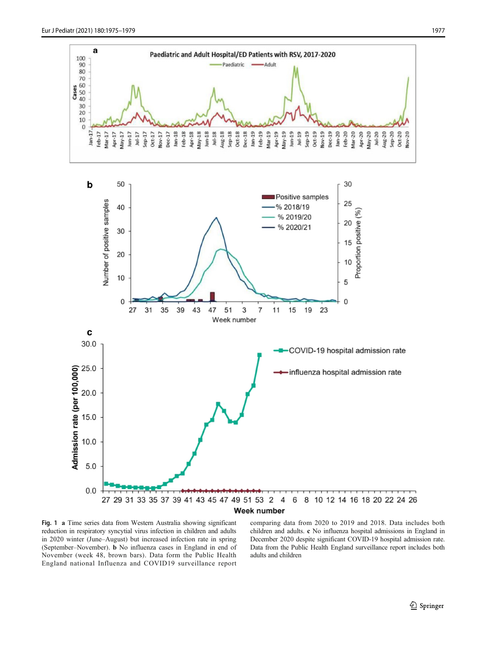<span id="page-3-0"></span>

Fig. 1 a Time series data from Western Australia showing significant reduction in respiratory syncytial virus infection in children and adults in 2020 winter (June–August) but increased infection rate in spring (September–November). b No influenza cases in England in end of November (week 48, brown bars). Data form the Public Health England national Influenza and COVID19 surveillance report

comparing data from 2020 to 2019 and 2018. Data includes both children and adults. c No influenza hospital admissions in England in December 2020 despite significant COVID-19 hospital admission rate. Data from the Public Health England surveillance report includes both adults and children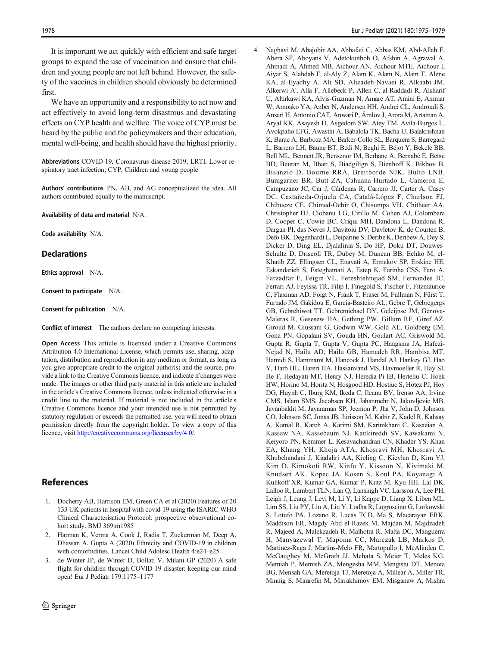<span id="page-4-0"></span>It is important we act quickly with efficient and safe target groups to expand the use of vaccination and ensure that children and young people are not left behind. However, the safety of the vaccines in children should obviously be determined first.

We have an opportunity and a responsibility to act now and act effectively to avoid long-term disastrous and devastating effects on CYP health and welfare. The voice of CYP must be heard by the public and the policymakers and their education, mental well-being, and health should have the highest priority.

Abbreviations COVID-19, Coronavirus disease 2019; LRTI, Lower respiratory tract infection; CYP, Children and young people

Authors' contributions PN, AB, and AG conceptualized the idea. All authors contributed equally to the manuscript.

Availability of data and material N/A.

Code availability N/A.

#### **Declarations**

Ethics approval N/A.

Consent to participate N/A.

Consent for publication N/A.

Conflict of interest The authors declare no competing interests.

Open Access This article is licensed under a Creative Commons Attribution 4.0 International License, which permits use, sharing, adaptation, distribution and reproduction in any medium or format, as long as you give appropriate credit to the original author(s) and the source, provide a link to the Creative Commons licence, and indicate if changes were made. The images or other third party material in this article are included in the article's Creative Commons licence, unless indicated otherwise in a credit line to the material. If material is not included in the article's Creative Commons licence and your intended use is not permitted by statutory regulation or exceeds the permitted use, you will need to obtain permission directly from the copyright holder. To view a copy of this licence, visit [http://creativecommons.org/licenses/by/4.0/](https://doi.org/).

#### References

- 1. Docherty AB, Harrison EM, Green CA et al (2020) Features of 20 133 UK patients in hospital with covid-19 using the ISARIC WHO Clinical Characterisation Protocol: prospective observational cohort study. BMJ 369:m1985
- 2. Harman K, Verma A, Cook J, Radia T, Zuckerman M, Deep A, Dhawan A, Gupta A (2020) Ethnicity and COVID-19 in children with comorbidities. Lancet Child Adolesc Health 4:e24–e25
- 3. de Winter JP, de Winter D, Bollati V, Milani GP (2020) A safe flight for children through COVID-19 disaster: keeping our mind open! Eur J Pediatr 179:1175–1177

4. Naghavi M, Abajobir AA, Abbafati C, Abbas KM, Abd-Allah F, Abera SF, Aboyans V, Adetokunboh O, Afshin A, Agrawal A, Ahmadi A, Ahmed MB, Aichour AN, Aichour MTE, Aichour I, Aiyar S, Alahdab F, al-Aly Z, Alam K, Alam N, Alam T, Alene KA, al-Eyadhy A, Ali SD, Alizadeh-Navaei R, Alkaabi JM, Alkerwi A', Alla F, Allebeck P, Allen C, al-Raddadi R, Alsharif U, Altirkawi KA, Alvis-Guzman N, Amare AT, Amini E, Ammar W, Amoako YA, Anber N, Andersen HH, Andrei CL, Androudi S, Ansari H, Antonio CAT, Anwari P, Ärnlöv J, Arora M, Artaman A, Aryal KK, Asayesh H, Asgedom SW, Atey TM, Avila-Burgos L, Avokpaho EFG, Awasthi A, Babalola TK, Bacha U, Balakrishnan K, Barac A, Barboza MA, Barker-Collo SL, Barquera S, Barregard L, Barrero LH, Baune BT, Bedi N, Beghi E, Béjot Y, Bekele BB, Bell ML, Bennett JR, Bensenor IM, Berhane A, Bernabé E, Betsu BD, Beuran M, Bhatt S, Biadgilign S, Bienhoff K, Bikbov B, Bisanzio D, Bourne RRA, Breitborde NJK, Bulto LNB, Bumgarner BR, Butt ZA, Cahuana-Hurtado L, Cameron E, Campuzano JC, Car J, Cárdenas R, Carrero JJ, Carter A, Casey DC, Castañeda-Orjuela CA, Catalá-López F, Charlson FJ, Chibueze CE, Chimed-Ochir O, Chisumpa VH, Chitheer AA, Christopher DJ, Ciobanu LG, Cirillo M, Cohen AJ, Colombara D, Cooper C, Cowie BC, Criqui MH, Dandona L, Dandona R, Dargan PI, das Neves J, Davitoiu DV, Davletov K, de Courten B, Defo BK, Degenhardt L, Deiparine S, Deribe K, Deribew A, Dey S, Dicker D, Ding EL, Djalalinia S, Do HP, Doku DT, Douwes-Schultz D, Driscoll TR, Dubey M, Duncan BB, Echko M, el-Khatib ZZ, Ellingsen CL, Enayati A, Ermakov SP, Erskine HE, Eskandarieh S, Esteghamati A, Estep K, Farinha CSS, Faro A, Farzadfar F, Feigin VL, Fereshtehnejad SM, Fernandes JC, Ferrari AJ, Feyissa TR, Filip I, Finegold S, Fischer F, Fitzmaurice C, Flaxman AD, Foigt N, Frank T, Fraser M, Fullman N, Fürst T, Furtado JM, Gakidou E, Garcia-Basteiro AL, Gebre T, Gebregergs GB, Gebrehiwot TT, Gebremichael DY, Geleijnse JM, Genova-Maleras R, Gesesew HA, Gething PW, Gillum RF, Giref AZ, Giroud M, Giussani G, Godwin WW, Gold AL, Goldberg EM, Gona PN, Gopalani SV, Gouda HN, Goulart AC, Griswold M, Gupta R, Gupta T, Gupta V, Gupta PC, Haagsma JA, Hafezi-Nejad N, Hailu AD, Hailu GB, Hamadeh RR, Hambisa MT, Hamidi S, Hammami M, Hancock J, Handal AJ, Hankey GJ, Hao Y, Harb HL, Hareri HA, Hassanvand MS, Havmoeller R, Hay SI, He F, Hedayati MT, Henry NJ, Heredia-Pi IB, Herteliu C, Hoek HW, Horino M, Horita N, Hosgood HD, Hostiuc S, Hotez PJ, Hoy DG, Huynh C, Iburg KM, Ikeda C, Ileanu BV, Irenso AA, Irvine CMS, Islam SMS, Jacobsen KH, Jahanmehr N, Jakovljevic MB, Javanbakht M, Jayaraman SP, Jeemon P, Jha V, John D, Johnson CO, Johnson SC, Jonas JB, Jürisson M, Kabir Z, Kadel R, Kahsay A, Kamal R, Karch A, Karimi SM, Karimkhani C, Kasaeian A, Kassaw NA, Kassebaum NJ, Katikireddi SV, Kawakami N, Keiyoro PN, Kemmer L, Kesavachandran CN, Khader YS, Khan EA, Khang YH, Khoja ATA, Khosravi MH, Khosravi A, Khubchandani J, Kiadaliri AA, Kieling C, Kievlan D, Kim YJ, Kim D, Kimokoti RW, Kinfu Y, Kissoon N, Kivimaki M, Knudsen AK, Kopec JA, Kosen S, Koul PA, Koyanagi A, Kulikoff XR, Kumar GA, Kumar P, Kutz M, Kyu HH, Lal DK, Lalloo R, Lambert TLN, Lan Q, Lansingh VC, Larsson A, Lee PH, Leigh J, Leung J, Levi M, Li Y, Li Kappe D, Liang X, Liben ML, Lim SS, Liu PY, Liu A, Liu Y, Lodha R, Logroscino G, Lorkowski S, Lotufo PA, Lozano R, Lucas TCD, Ma S, Macarayan ERK, Maddison ER, Magdy Abd el Razek M, Majdan M, Majdzadeh R, Majeed A, Malekzadeh R, Malhotra R, Malta DC, Manguerra H, Manyazewal T, Mapoma CC, Marczak LB, Markos D, Martinez-Raga J, Martins-Melo FR, Martopullo I, McAlinden C, McGaughey M, McGrath JJ, Mehata S, Meier T, Meles KG, Memiah P, Memish ZA, Mengesha MM, Mengistu DT, Menota BG, Mensah GA, Meretoja TJ, Meretoja A, Millear A, Miller TR, Minnig S, Mirarefin M, Mirrakhimov EM, Misganaw A, Mishra